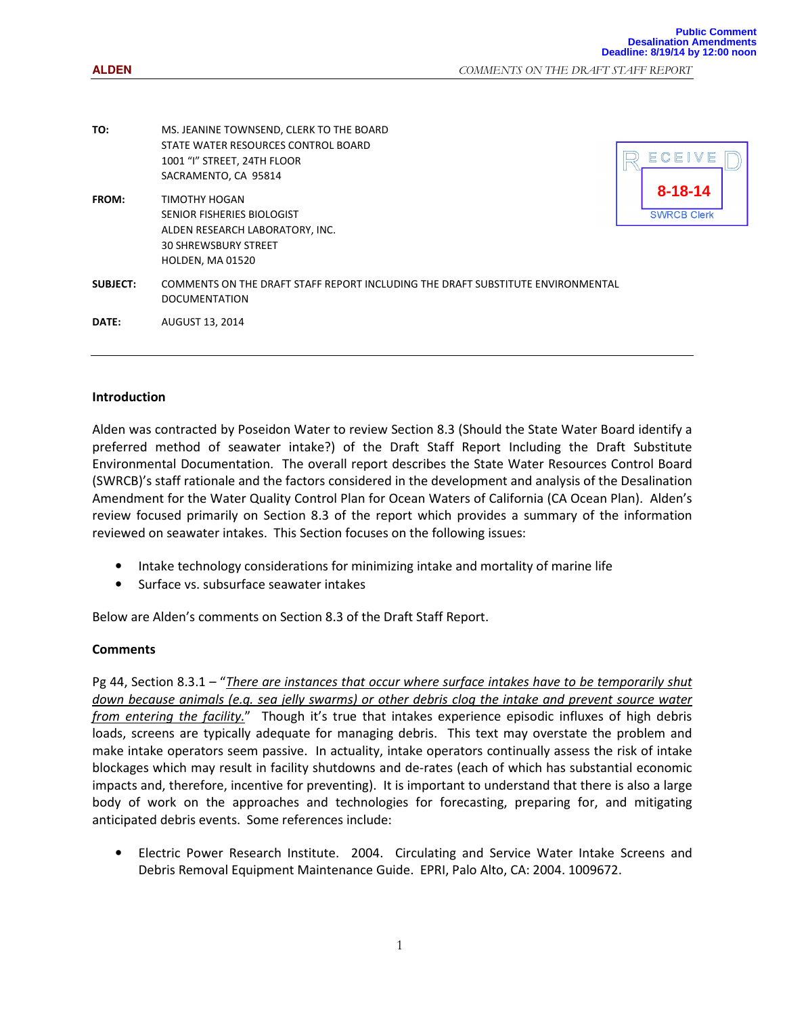**ALDEN** COMMENTS ON THE DRAFT STAFF REPORT

| TO:             | MS. JEANINE TOWNSEND, CLERK TO THE BOARD<br>STATE WATER RESOURCES CONTROL BOARD<br>1001 "I" STREET, 24TH FLOOR<br>SACRAMENTO, CA 95814   | ECEIVE                              |  |
|-----------------|------------------------------------------------------------------------------------------------------------------------------------------|-------------------------------------|--|
| FROM:           | TIMOTHY HOGAN<br>SENIOR FISHERIES BIOLOGIST<br>ALDEN RESEARCH LABORATORY, INC.<br><b>30 SHREWSBURY STREET</b><br><b>HOLDEN, MA 01520</b> | $8 - 18 - 14$<br><b>SWRCB Clerk</b> |  |
| <b>SUBJECT:</b> | COMMENTS ON THE DRAFT STAFF REPORT INCLUDING THE DRAFT SUBSTITUTE ENVIRONMENTAL<br><b>DOCUMENTATION</b>                                  |                                     |  |
| DATE:           | AUGUST 13, 2014                                                                                                                          |                                     |  |

## Introduction

Alden was contracted by Poseidon Water to review Section 8.3 (Should the State Water Board identify a preferred method of seawater intake?) of the Draft Staff Report Including the Draft Substitute Environmental Documentation. The overall report describes the State Water Resources Control Board (SWRCB)'s staff rationale and the factors considered in the development and analysis of the Desalination Amendment for the Water Quality Control Plan for Ocean Waters of California (CA Ocean Plan). Alden's review focused primarily on Section 8.3 of the report which provides a summary of the information reviewed on seawater intakes. This Section focuses on the following issues:

- Intake technology considerations for minimizing intake and mortality of marine life
- Surface vs. subsurface seawater intakes

Below are Alden's comments on Section 8.3 of the Draft Staff Report.

## **Comments**

Pg 44, Section 8.3.1 – "There are instances that occur where surface intakes have to be temporarily shut down because animals (e.g. sea jelly swarms) or other debris clog the intake and prevent source water from entering the facility." Though it's true that intakes experience episodic influxes of high debris loads, screens are typically adequate for managing debris. This text may overstate the problem and make intake operators seem passive. In actuality, intake operators continually assess the risk of intake blockages which may result in facility shutdowns and de-rates (each of which has substantial economic impacts and, therefore, incentive for preventing). It is important to understand that there is also a large body of work on the approaches and technologies for forecasting, preparing for, and mitigating anticipated debris events. Some references include:

• Electric Power Research Institute. 2004. Circulating and Service Water Intake Screens and Debris Removal Equipment Maintenance Guide. EPRI, Palo Alto, CA: 2004. 1009672.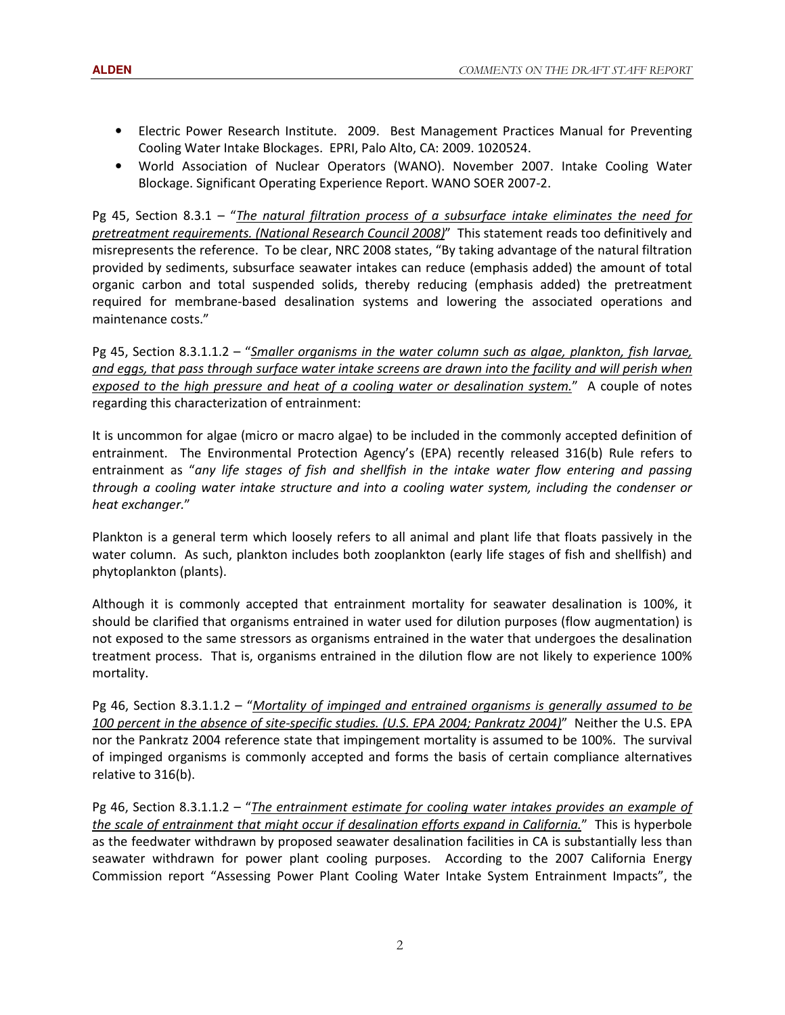- Electric Power Research Institute. 2009. Best Management Practices Manual for Preventing Cooling Water Intake Blockages. EPRI, Palo Alto, CA: 2009. 1020524.
- World Association of Nuclear Operators (WANO). November 2007. Intake Cooling Water Blockage. Significant Operating Experience Report. WANO SOER 2007-2.

Pg 45, Section 8.3.1 – "The natural filtration process of a subsurface intake eliminates the need for pretreatment requirements. (National Research Council 2008)" This statement reads too definitively and misrepresents the reference. To be clear, NRC 2008 states, "By taking advantage of the natural filtration provided by sediments, subsurface seawater intakes can reduce (emphasis added) the amount of total organic carbon and total suspended solids, thereby reducing (emphasis added) the pretreatment required for membrane-based desalination systems and lowering the associated operations and maintenance costs."

Pg 45, Section 8.3.1.1.2 – "Smaller organisms in the water column such as algae, plankton, fish larvae, and eggs, that pass through surface water intake screens are drawn into the facility and will perish when exposed to the high pressure and heat of a cooling water or desalination system." A couple of notes regarding this characterization of entrainment:

It is uncommon for algae (micro or macro algae) to be included in the commonly accepted definition of entrainment. The Environmental Protection Agency's (EPA) recently released 316(b) Rule refers to entrainment as "any life stages of fish and shellfish in the intake water flow entering and passing through a cooling water intake structure and into a cooling water system, including the condenser or heat exchanger."

Plankton is a general term which loosely refers to all animal and plant life that floats passively in the water column. As such, plankton includes both zooplankton (early life stages of fish and shellfish) and phytoplankton (plants).

Although it is commonly accepted that entrainment mortality for seawater desalination is 100%, it should be clarified that organisms entrained in water used for dilution purposes (flow augmentation) is not exposed to the same stressors as organisms entrained in the water that undergoes the desalination treatment process. That is, organisms entrained in the dilution flow are not likely to experience 100% mortality.

Pg 46, Section 8.3.1.1.2 – "Mortality of impinged and entrained organisms is generally assumed to be 100 percent in the absence of site-specific studies. (U.S. EPA 2004; Pankratz 2004)" Neither the U.S. EPA nor the Pankratz 2004 reference state that impingement mortality is assumed to be 100%. The survival of impinged organisms is commonly accepted and forms the basis of certain compliance alternatives relative to 316(b).

Pg 46, Section 8.3.1.1.2 – "The entrainment estimate for cooling water intakes provides an example of the scale of entrainment that might occur if desalination efforts expand in California." This is hyperbole as the feedwater withdrawn by proposed seawater desalination facilities in CA is substantially less than seawater withdrawn for power plant cooling purposes. According to the 2007 California Energy Commission report "Assessing Power Plant Cooling Water Intake System Entrainment Impacts", the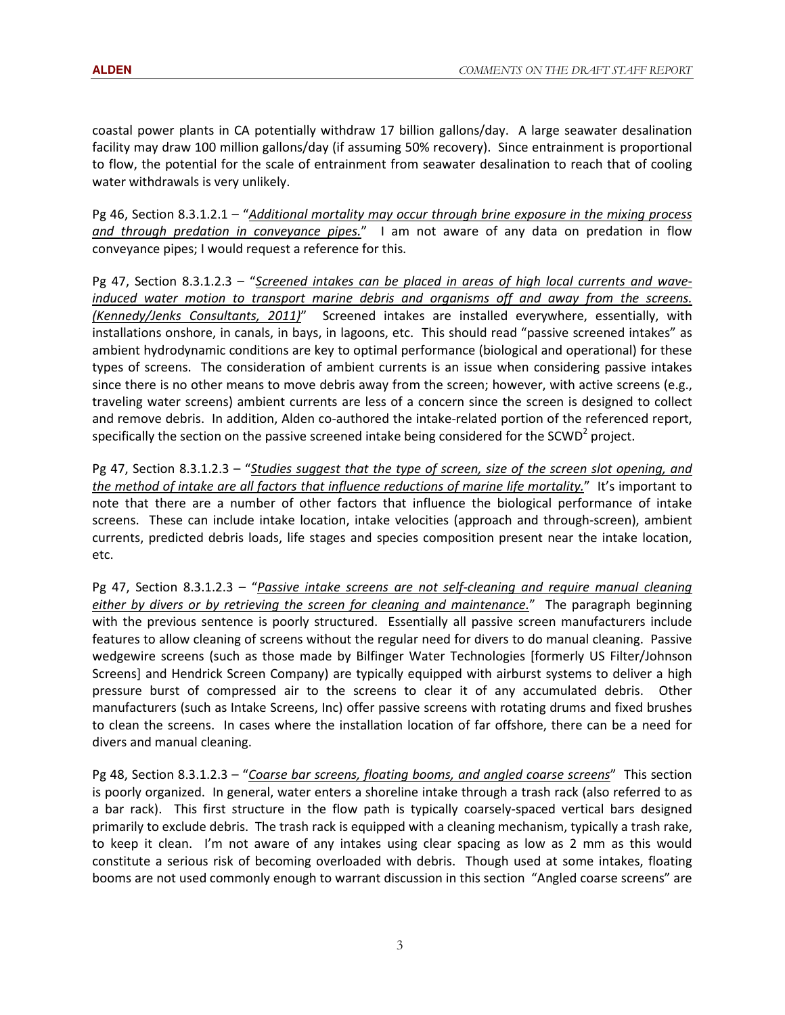coastal power plants in CA potentially withdraw 17 billion gallons/day. A large seawater desalination facility may draw 100 million gallons/day (if assuming 50% recovery). Since entrainment is proportional to flow, the potential for the scale of entrainment from seawater desalination to reach that of cooling water withdrawals is very unlikely.

Pg 46, Section 8.3.1.2.1 – "Additional mortality may occur through brine exposure in the mixing process and through predation in conveyance pipes." I am not aware of any data on predation in flow conveyance pipes; I would request a reference for this.

Pg 47, Section 8.3.1.2.3 – "Screened intakes can be placed in areas of high local currents and waveinduced water motion to transport marine debris and organisms off and away from the screens. (Kennedy/Jenks Consultants, 2011)" Screened intakes are installed everywhere, essentially, with installations onshore, in canals, in bays, in lagoons, etc. This should read "passive screened intakes" as ambient hydrodynamic conditions are key to optimal performance (biological and operational) for these types of screens. The consideration of ambient currents is an issue when considering passive intakes since there is no other means to move debris away from the screen; however, with active screens (e.g., traveling water screens) ambient currents are less of a concern since the screen is designed to collect and remove debris. In addition, Alden co-authored the intake-related portion of the referenced report, specifically the section on the passive screened intake being considered for the SCWD<sup>2</sup> project.

Pg 47, Section 8.3.1.2.3 – "Studies suggest that the type of screen, size of the screen slot opening, and the method of intake are all factors that influence reductions of marine life mortality." It's important to note that there are a number of other factors that influence the biological performance of intake screens. These can include intake location, intake velocities (approach and through-screen), ambient currents, predicted debris loads, life stages and species composition present near the intake location, etc.

Pg 47, Section 8.3.1.2.3 – "Passive intake screens are not self-cleaning and require manual cleaning either by divers or by retrieving the screen for cleaning and maintenance." The paragraph beginning with the previous sentence is poorly structured. Essentially all passive screen manufacturers include features to allow cleaning of screens without the regular need for divers to do manual cleaning. Passive wedgewire screens (such as those made by Bilfinger Water Technologies [formerly US Filter/Johnson Screens] and Hendrick Screen Company) are typically equipped with airburst systems to deliver a high pressure burst of compressed air to the screens to clear it of any accumulated debris. Other manufacturers (such as Intake Screens, Inc) offer passive screens with rotating drums and fixed brushes to clean the screens. In cases where the installation location of far offshore, there can be a need for divers and manual cleaning.

Pg 48, Section 8.3.1.2.3 – "Coarse bar screens, floating booms, and angled coarse screens" This section is poorly organized. In general, water enters a shoreline intake through a trash rack (also referred to as a bar rack). This first structure in the flow path is typically coarsely-spaced vertical bars designed primarily to exclude debris. The trash rack is equipped with a cleaning mechanism, typically a trash rake, to keep it clean. I'm not aware of any intakes using clear spacing as low as 2 mm as this would constitute a serious risk of becoming overloaded with debris. Though used at some intakes, floating booms are not used commonly enough to warrant discussion in this section "Angled coarse screens" are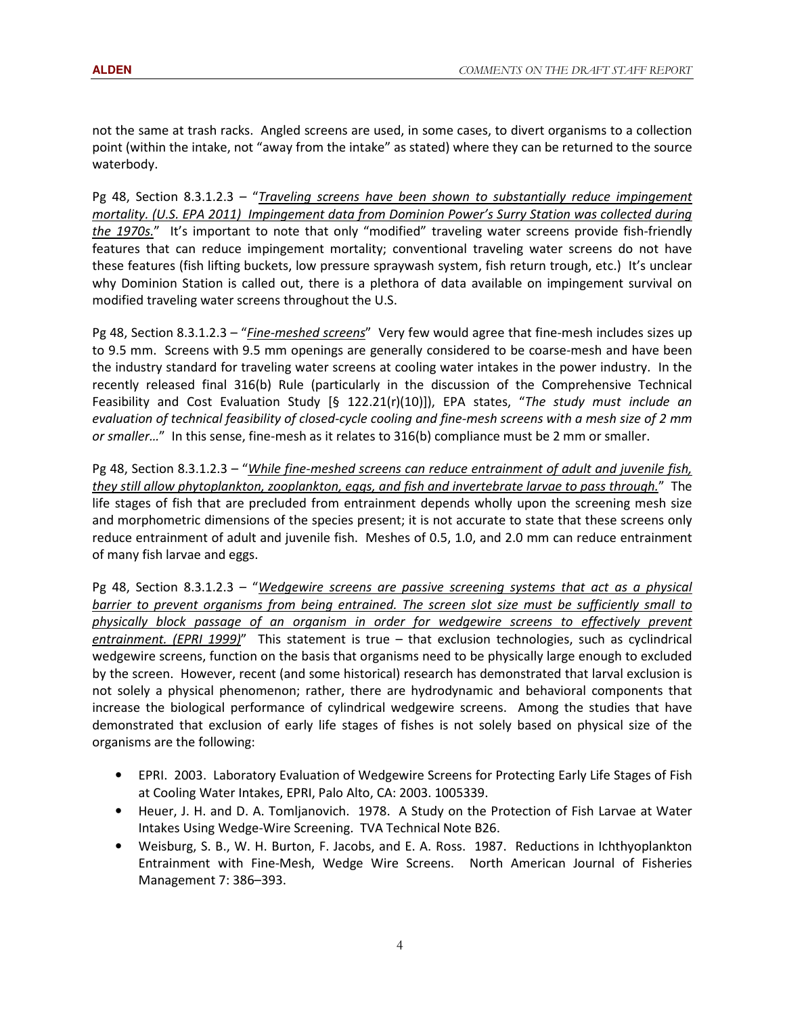not the same at trash racks. Angled screens are used, in some cases, to divert organisms to a collection point (within the intake, not "away from the intake" as stated) where they can be returned to the source waterbody.

Pg 48, Section 8.3.1.2.3 – "Traveling screens have been shown to substantially reduce impingement mortality. (U.S. EPA 2011) Impingement data from Dominion Power's Surry Station was collected during the 1970s." It's important to note that only "modified" traveling water screens provide fish-friendly features that can reduce impingement mortality; conventional traveling water screens do not have these features (fish lifting buckets, low pressure spraywash system, fish return trough, etc.) It's unclear why Dominion Station is called out, there is a plethora of data available on impingement survival on modified traveling water screens throughout the U.S.

Pg 48, Section 8.3.1.2.3 – "Fine-meshed screens" Very few would agree that fine-mesh includes sizes up to 9.5 mm. Screens with 9.5 mm openings are generally considered to be coarse-mesh and have been the industry standard for traveling water screens at cooling water intakes in the power industry. In the recently released final 316(b) Rule (particularly in the discussion of the Comprehensive Technical Feasibility and Cost Evaluation Study  $[§ 122.21(r)(10)]$ ), EPA states, "The study must include an evaluation of technical feasibility of closed-cycle cooling and fine-mesh screens with a mesh size of 2 mm or smaller..." In this sense, fine-mesh as it relates to 316(b) compliance must be 2 mm or smaller.

Pg 48, Section 8.3.1.2.3 – "While fine-meshed screens can reduce entrainment of adult and juvenile fish, they still allow phytoplankton, zooplankton, eggs, and fish and invertebrate larvae to pass through." The life stages of fish that are precluded from entrainment depends wholly upon the screening mesh size and morphometric dimensions of the species present; it is not accurate to state that these screens only reduce entrainment of adult and juvenile fish. Meshes of 0.5, 1.0, and 2.0 mm can reduce entrainment of many fish larvae and eggs.

Pg 48, Section 8.3.1.2.3 – "Wedgewire screens are passive screening systems that act as a physical barrier to prevent organisms from being entrained. The screen slot size must be sufficiently small to physically block passage of an organism in order for wedgewire screens to effectively prevent entrainment. (EPRI 1999)" This statement is true – that exclusion technologies, such as cyclindrical wedgewire screens, function on the basis that organisms need to be physically large enough to excluded by the screen. However, recent (and some historical) research has demonstrated that larval exclusion is not solely a physical phenomenon; rather, there are hydrodynamic and behavioral components that increase the biological performance of cylindrical wedgewire screens. Among the studies that have demonstrated that exclusion of early life stages of fishes is not solely based on physical size of the organisms are the following:

- EPRI. 2003. Laboratory Evaluation of Wedgewire Screens for Protecting Early Life Stages of Fish at Cooling Water Intakes, EPRI, Palo Alto, CA: 2003. 1005339.
- Heuer, J. H. and D. A. Tomljanovich. 1978. A Study on the Protection of Fish Larvae at Water Intakes Using Wedge-Wire Screening. TVA Technical Note B26.
- Weisburg, S. B., W. H. Burton, F. Jacobs, and E. A. Ross. 1987. Reductions in Ichthyoplankton Entrainment with Fine-Mesh, Wedge Wire Screens. North American Journal of Fisheries Management 7: 386–393.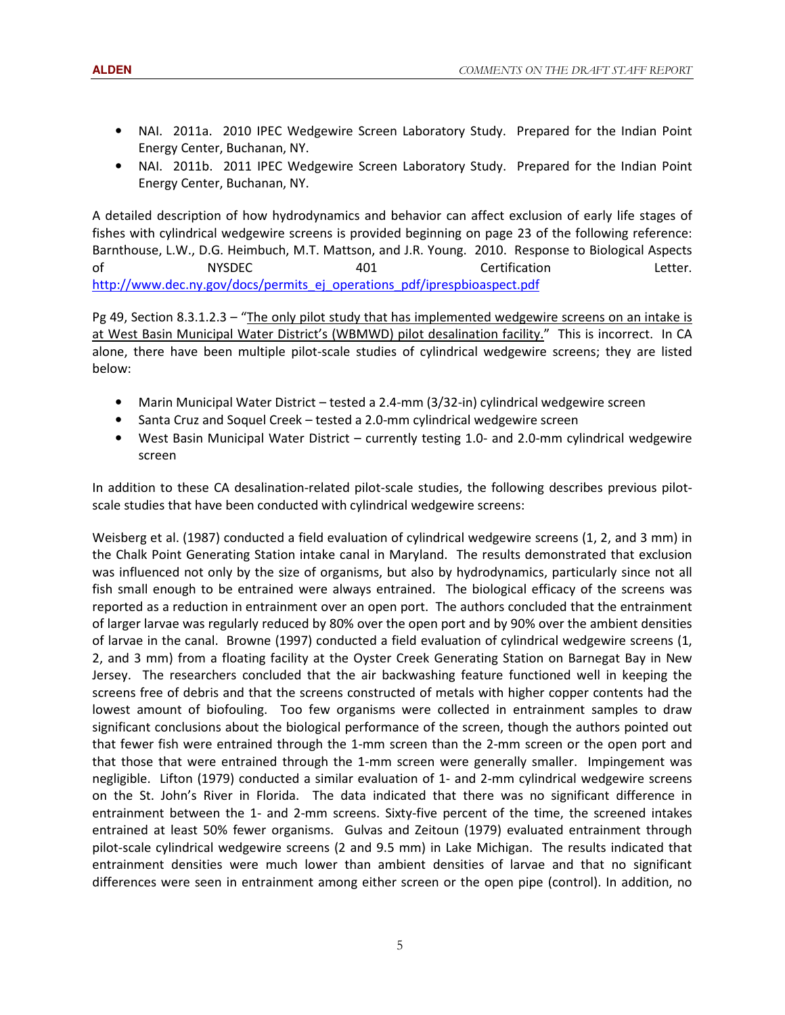- NAI. 2011a. 2010 IPEC Wedgewire Screen Laboratory Study. Prepared for the Indian Point Energy Center, Buchanan, NY.
- NAI. 2011b. 2011 IPEC Wedgewire Screen Laboratory Study. Prepared for the Indian Point Energy Center, Buchanan, NY.

A detailed description of how hydrodynamics and behavior can affect exclusion of early life stages of fishes with cylindrical wedgewire screens is provided beginning on page 23 of the following reference: Barnthouse, L.W., D.G. Heimbuch, M.T. Mattson, and J.R. Young. 2010. Response to Biological Aspects of MYSDEC 401 Certification Letter. http://www.dec.ny.gov/docs/permits\_ej\_operations\_pdf/iprespbioaspect.pdf

Pg 49, Section 8.3.1.2.3 – "The only pilot study that has implemented wedgewire screens on an intake is at West Basin Municipal Water District's (WBMWD) pilot desalination facility." This is incorrect. In CA alone, there have been multiple pilot-scale studies of cylindrical wedgewire screens; they are listed below:

- Marin Municipal Water District tested a 2.4-mm (3/32-in) cylindrical wedgewire screen
- Santa Cruz and Soquel Creek tested a 2.0-mm cylindrical wedgewire screen
- West Basin Municipal Water District currently testing 1.0- and 2.0-mm cylindrical wedgewire screen

In addition to these CA desalination-related pilot-scale studies, the following describes previous pilotscale studies that have been conducted with cylindrical wedgewire screens:

Weisberg et al. (1987) conducted a field evaluation of cylindrical wedgewire screens (1, 2, and 3 mm) in the Chalk Point Generating Station intake canal in Maryland. The results demonstrated that exclusion was influenced not only by the size of organisms, but also by hydrodynamics, particularly since not all fish small enough to be entrained were always entrained. The biological efficacy of the screens was reported as a reduction in entrainment over an open port. The authors concluded that the entrainment of larger larvae was regularly reduced by 80% over the open port and by 90% over the ambient densities of larvae in the canal. Browne (1997) conducted a field evaluation of cylindrical wedgewire screens (1, 2, and 3 mm) from a floating facility at the Oyster Creek Generating Station on Barnegat Bay in New Jersey. The researchers concluded that the air backwashing feature functioned well in keeping the screens free of debris and that the screens constructed of metals with higher copper contents had the lowest amount of biofouling. Too few organisms were collected in entrainment samples to draw significant conclusions about the biological performance of the screen, though the authors pointed out that fewer fish were entrained through the 1-mm screen than the 2-mm screen or the open port and that those that were entrained through the 1-mm screen were generally smaller. Impingement was negligible. Lifton (1979) conducted a similar evaluation of 1- and 2-mm cylindrical wedgewire screens on the St. John's River in Florida. The data indicated that there was no significant difference in entrainment between the 1- and 2-mm screens. Sixty-five percent of the time, the screened intakes entrained at least 50% fewer organisms. Gulvas and Zeitoun (1979) evaluated entrainment through pilot-scale cylindrical wedgewire screens (2 and 9.5 mm) in Lake Michigan. The results indicated that entrainment densities were much lower than ambient densities of larvae and that no significant differences were seen in entrainment among either screen or the open pipe (control). In addition, no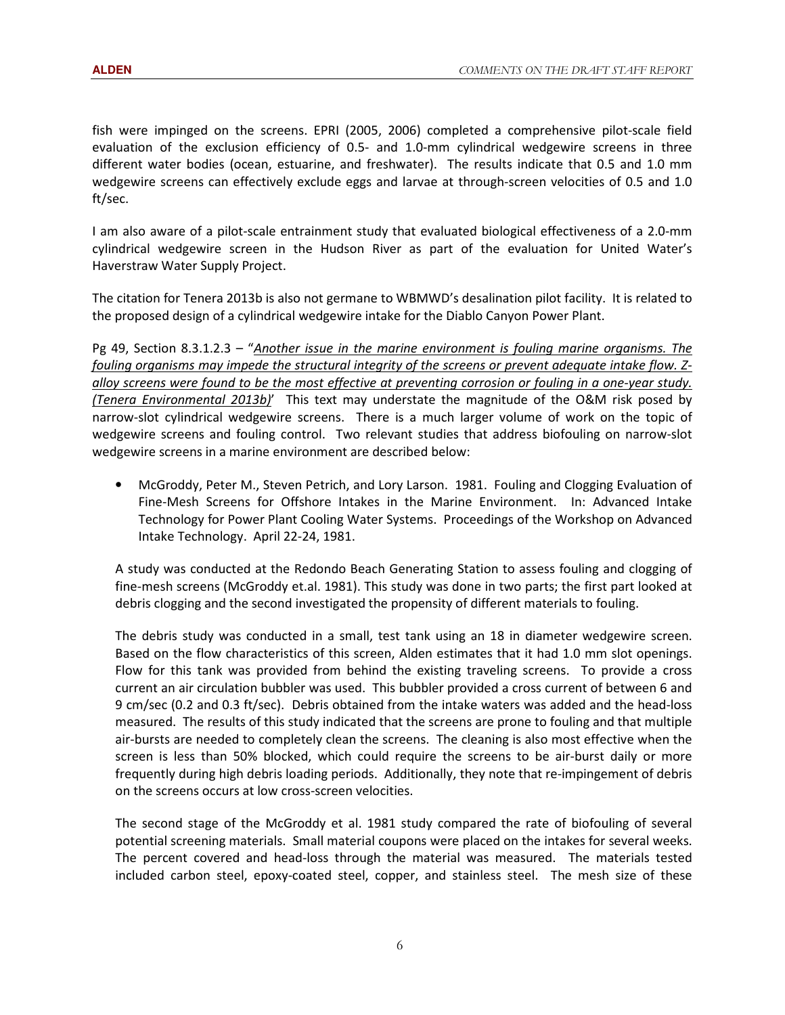fish were impinged on the screens. EPRI (2005, 2006) completed a comprehensive pilot-scale field evaluation of the exclusion efficiency of 0.5- and 1.0-mm cylindrical wedgewire screens in three different water bodies (ocean, estuarine, and freshwater). The results indicate that 0.5 and 1.0 mm wedgewire screens can effectively exclude eggs and larvae at through-screen velocities of 0.5 and 1.0 ft/sec.

I am also aware of a pilot-scale entrainment study that evaluated biological effectiveness of a 2.0-mm cylindrical wedgewire screen in the Hudson River as part of the evaluation for United Water's Haverstraw Water Supply Project.

The citation for Tenera 2013b is also not germane to WBMWD's desalination pilot facility. It is related to the proposed design of a cylindrical wedgewire intake for the Diablo Canyon Power Plant.

Pg 49, Section 8.3.1.2.3 – "Another issue in the marine environment is fouling marine organisms. The fouling organisms may impede the structural integrity of the screens or prevent adequate intake flow. Zalloy screens were found to be the most effective at preventing corrosion or fouling in a one-year study. (Tenera Environmental 2013b)' This text may understate the magnitude of the O&M risk posed by narrow-slot cylindrical wedgewire screens. There is a much larger volume of work on the topic of wedgewire screens and fouling control. Two relevant studies that address biofouling on narrow-slot wedgewire screens in a marine environment are described below:

• McGroddy, Peter M., Steven Petrich, and Lory Larson. 1981. Fouling and Clogging Evaluation of Fine-Mesh Screens for Offshore Intakes in the Marine Environment. In: Advanced Intake Technology for Power Plant Cooling Water Systems. Proceedings of the Workshop on Advanced Intake Technology. April 22-24, 1981.

A study was conducted at the Redondo Beach Generating Station to assess fouling and clogging of fine-mesh screens (McGroddy et.al. 1981). This study was done in two parts; the first part looked at debris clogging and the second investigated the propensity of different materials to fouling.

The debris study was conducted in a small, test tank using an 18 in diameter wedgewire screen. Based on the flow characteristics of this screen, Alden estimates that it had 1.0 mm slot openings. Flow for this tank was provided from behind the existing traveling screens. To provide a cross current an air circulation bubbler was used. This bubbler provided a cross current of between 6 and 9 cm/sec (0.2 and 0.3 ft/sec). Debris obtained from the intake waters was added and the head-loss measured. The results of this study indicated that the screens are prone to fouling and that multiple air-bursts are needed to completely clean the screens. The cleaning is also most effective when the screen is less than 50% blocked, which could require the screens to be air-burst daily or more frequently during high debris loading periods. Additionally, they note that re-impingement of debris on the screens occurs at low cross-screen velocities.

The second stage of the McGroddy et al. 1981 study compared the rate of biofouling of several potential screening materials. Small material coupons were placed on the intakes for several weeks. The percent covered and head-loss through the material was measured. The materials tested included carbon steel, epoxy-coated steel, copper, and stainless steel. The mesh size of these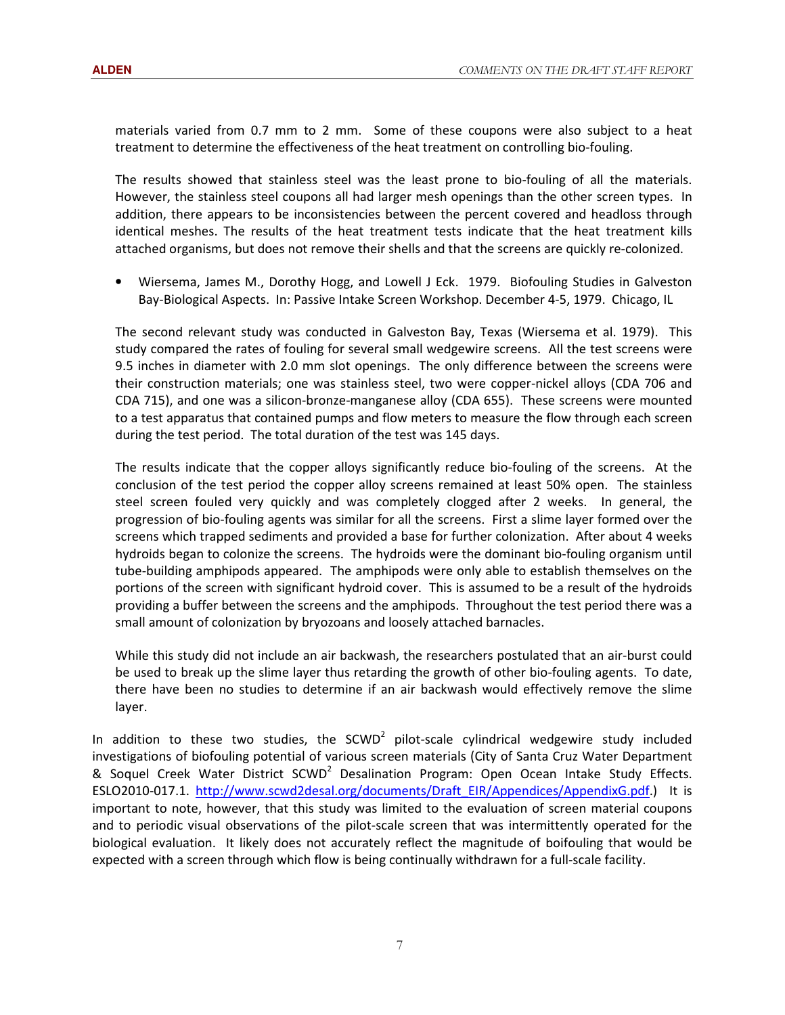materials varied from 0.7 mm to 2 mm. Some of these coupons were also subject to a heat treatment to determine the effectiveness of the heat treatment on controlling bio-fouling.

The results showed that stainless steel was the least prone to bio-fouling of all the materials. However, the stainless steel coupons all had larger mesh openings than the other screen types. In addition, there appears to be inconsistencies between the percent covered and headloss through identical meshes. The results of the heat treatment tests indicate that the heat treatment kills attached organisms, but does not remove their shells and that the screens are quickly re-colonized.

• Wiersema, James M., Dorothy Hogg, and Lowell J Eck. 1979. Biofouling Studies in Galveston Bay-Biological Aspects. In: Passive Intake Screen Workshop. December 4-5, 1979. Chicago, IL

The second relevant study was conducted in Galveston Bay, Texas (Wiersema et al. 1979). This study compared the rates of fouling for several small wedgewire screens. All the test screens were 9.5 inches in diameter with 2.0 mm slot openings. The only difference between the screens were their construction materials; one was stainless steel, two were copper-nickel alloys (CDA 706 and CDA 715), and one was a silicon-bronze-manganese alloy (CDA 655). These screens were mounted to a test apparatus that contained pumps and flow meters to measure the flow through each screen during the test period. The total duration of the test was 145 days.

The results indicate that the copper alloys significantly reduce bio-fouling of the screens. At the conclusion of the test period the copper alloy screens remained at least 50% open. The stainless steel screen fouled very quickly and was completely clogged after 2 weeks. In general, the progression of bio-fouling agents was similar for all the screens. First a slime layer formed over the screens which trapped sediments and provided a base for further colonization. After about 4 weeks hydroids began to colonize the screens. The hydroids were the dominant bio-fouling organism until tube-building amphipods appeared. The amphipods were only able to establish themselves on the portions of the screen with significant hydroid cover. This is assumed to be a result of the hydroids providing a buffer between the screens and the amphipods. Throughout the test period there was a small amount of colonization by bryozoans and loosely attached barnacles.

While this study did not include an air backwash, the researchers postulated that an air-burst could be used to break up the slime layer thus retarding the growth of other bio-fouling agents. To date, there have been no studies to determine if an air backwash would effectively remove the slime layer.

In addition to these two studies, the SCWD<sup>2</sup> pilot-scale cylindrical wedgewire study included investigations of biofouling potential of various screen materials (City of Santa Cruz Water Department & Soquel Creek Water District SCWD<sup>2</sup> Desalination Program: Open Ocean Intake Study Effects. ESLO2010-017.1. http://www.scwd2desal.org/documents/Draft\_EIR/Appendices/AppendixG.pdf.) It is important to note, however, that this study was limited to the evaluation of screen material coupons and to periodic visual observations of the pilot-scale screen that was intermittently operated for the biological evaluation. It likely does not accurately reflect the magnitude of boifouling that would be expected with a screen through which flow is being continually withdrawn for a full-scale facility.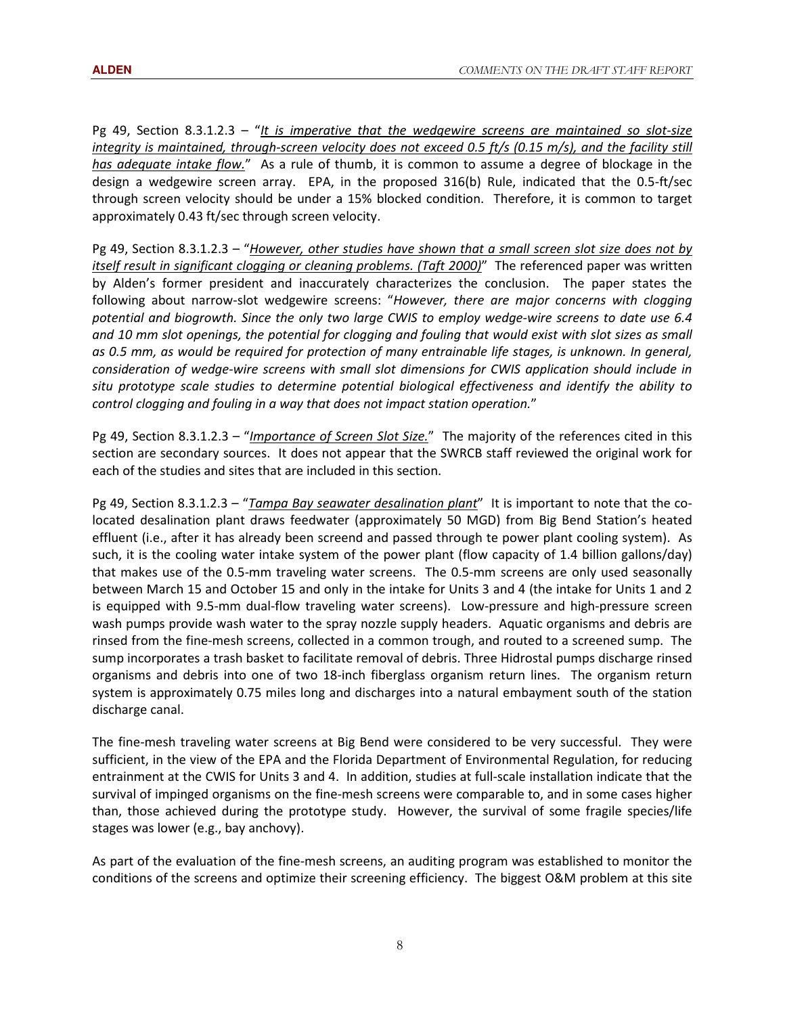Pg 49, Section 8.3.1.2.3 – "It is imperative that the wedgewire screens are maintained so slot-size integrity is maintained, through-screen velocity does not exceed 0.5 ft/s (0.15 m/s), and the facility still has adequate intake flow." As a rule of thumb, it is common to assume a degree of blockage in the design a wedgewire screen array. EPA, in the proposed 316(b) Rule, indicated that the 0.5-ft/sec through screen velocity should be under a 15% blocked condition. Therefore, it is common to target approximately 0.43 ft/sec through screen velocity.

Pg 49, Section 8.3.1.2.3 – "However, other studies have shown that a small screen slot size does not by itself result in significant clogging or cleaning problems. (Taft 2000)" The referenced paper was written by Alden's former president and inaccurately characterizes the conclusion. The paper states the following about narrow-slot wedgewire screens: "However, there are major concerns with clogging potential and biogrowth. Since the only two large CWIS to employ wedge-wire screens to date use 6.4 and 10 mm slot openings, the potential for clogging and fouling that would exist with slot sizes as small as 0.5 mm, as would be required for protection of many entrainable life stages, is unknown. In general, consideration of wedge-wire screens with small slot dimensions for CWIS application should include in situ prototype scale studies to determine potential biological effectiveness and identify the ability to control clogging and fouling in a way that does not impact station operation."

Pg 49, Section 8.3.1.2.3 – "*Importance of Screen Slot Size.*" The majority of the references cited in this section are secondary sources. It does not appear that the SWRCB staff reviewed the original work for each of the studies and sites that are included in this section.

Pg 49, Section 8.3.1.2.3 – "Tampa Bay seawater desalination plant" It is important to note that the colocated desalination plant draws feedwater (approximately 50 MGD) from Big Bend Station's heated effluent (i.e., after it has already been screend and passed through te power plant cooling system). As such, it is the cooling water intake system of the power plant (flow capacity of 1.4 billion gallons/day) that makes use of the 0.5-mm traveling water screens. The 0.5-mm screens are only used seasonally between March 15 and October 15 and only in the intake for Units 3 and 4 (the intake for Units 1 and 2 is equipped with 9.5-mm dual-flow traveling water screens). Low-pressure and high-pressure screen wash pumps provide wash water to the spray nozzle supply headers. Aquatic organisms and debris are rinsed from the fine-mesh screens, collected in a common trough, and routed to a screened sump. The sump incorporates a trash basket to facilitate removal of debris. Three Hidrostal pumps discharge rinsed organisms and debris into one of two 18-inch fiberglass organism return lines. The organism return system is approximately 0.75 miles long and discharges into a natural embayment south of the station discharge canal.

The fine-mesh traveling water screens at Big Bend were considered to be very successful. They were sufficient, in the view of the EPA and the Florida Department of Environmental Regulation, for reducing entrainment at the CWIS for Units 3 and 4. In addition, studies at full-scale installation indicate that the survival of impinged organisms on the fine-mesh screens were comparable to, and in some cases higher than, those achieved during the prototype study. However, the survival of some fragile species/life stages was lower (e.g., bay anchovy).

As part of the evaluation of the fine-mesh screens, an auditing program was established to monitor the conditions of the screens and optimize their screening efficiency. The biggest O&M problem at this site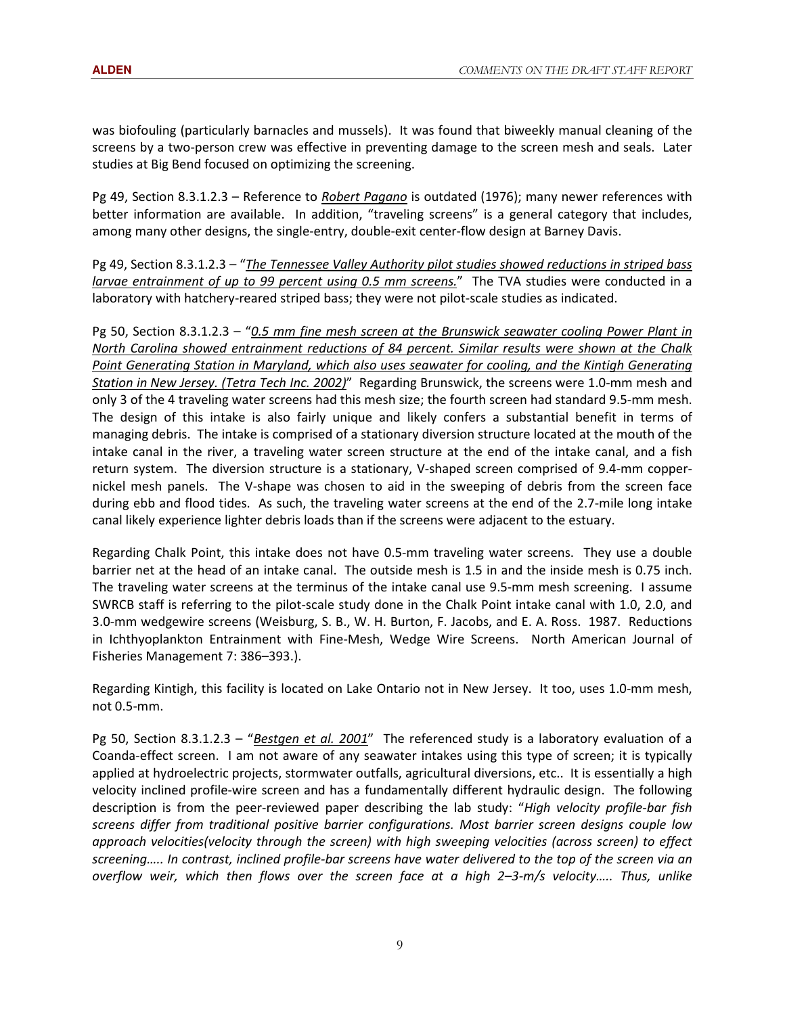was biofouling (particularly barnacles and mussels). It was found that biweekly manual cleaning of the screens by a two-person crew was effective in preventing damage to the screen mesh and seals. Later studies at Big Bend focused on optimizing the screening.

Pg 49, Section 8.3.1.2.3 – Reference to Robert Pagano is outdated (1976); many newer references with better information are available. In addition, "traveling screens" is a general category that includes, among many other designs, the single-entry, double-exit center-flow design at Barney Davis.

Pg 49, Section 8.3.1.2.3 – "The Tennessee Valley Authority pilot studies showed reductions in striped bass larvae entrainment of up to 99 percent using 0.5 mm screens." The TVA studies were conducted in a laboratory with hatchery-reared striped bass; they were not pilot-scale studies as indicated.

Pg 50, Section 8.3.1.2.3 – "0.5 mm fine mesh screen at the Brunswick seawater cooling Power Plant in North Carolina showed entrainment reductions of 84 percent. Similar results were shown at the Chalk Point Generating Station in Maryland, which also uses seawater for cooling, and the Kintigh Generating Station in New Jersey. (Tetra Tech Inc. 2002)" Regarding Brunswick, the screens were 1.0-mm mesh and only 3 of the 4 traveling water screens had this mesh size; the fourth screen had standard 9.5-mm mesh. The design of this intake is also fairly unique and likely confers a substantial benefit in terms of managing debris. The intake is comprised of a stationary diversion structure located at the mouth of the intake canal in the river, a traveling water screen structure at the end of the intake canal, and a fish return system. The diversion structure is a stationary, V-shaped screen comprised of 9.4-mm coppernickel mesh panels. The V-shape was chosen to aid in the sweeping of debris from the screen face during ebb and flood tides. As such, the traveling water screens at the end of the 2.7-mile long intake canal likely experience lighter debris loads than if the screens were adjacent to the estuary.

Regarding Chalk Point, this intake does not have 0.5-mm traveling water screens. They use a double barrier net at the head of an intake canal. The outside mesh is 1.5 in and the inside mesh is 0.75 inch. The traveling water screens at the terminus of the intake canal use 9.5-mm mesh screening. I assume SWRCB staff is referring to the pilot-scale study done in the Chalk Point intake canal with 1.0, 2.0, and 3.0-mm wedgewire screens (Weisburg, S. B., W. H. Burton, F. Jacobs, and E. A. Ross. 1987. Reductions in Ichthyoplankton Entrainment with Fine-Mesh, Wedge Wire Screens. North American Journal of Fisheries Management 7: 386–393.).

Regarding Kintigh, this facility is located on Lake Ontario not in New Jersey. It too, uses 1.0-mm mesh, not 0.5-mm.

Pg 50, Section 8.3.1.2.3 – "Bestgen et al. 2001" The referenced study is a laboratory evaluation of a Coanda-effect screen. I am not aware of any seawater intakes using this type of screen; it is typically applied at hydroelectric projects, stormwater outfalls, agricultural diversions, etc.. It is essentially a high velocity inclined profile-wire screen and has a fundamentally different hydraulic design. The following description is from the peer-reviewed paper describing the lab study: "High velocity profile-bar fish screens differ from traditional positive barrier configurations. Most barrier screen designs couple low approach velocities(velocity through the screen) with high sweeping velocities (across screen) to effect screening….. In contrast, inclined profile-bar screens have water delivered to the top of the screen via an overflow weir, which then flows over the screen face at a high 2–3-m/s velocity….. Thus, unlike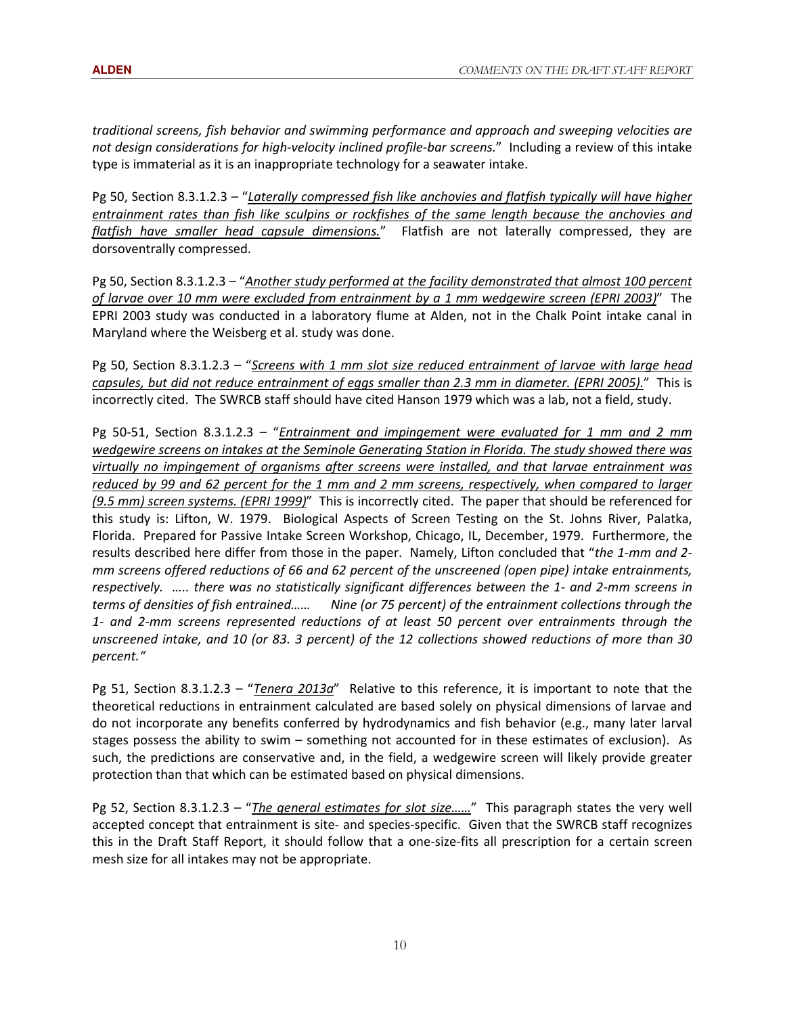traditional screens, fish behavior and swimming performance and approach and sweeping velocities are not design considerations for high-velocity inclined profile-bar screens." Including a review of this intake type is immaterial as it is an inappropriate technology for a seawater intake.

Pg 50, Section 8.3.1.2.3 – "Laterally compressed fish like anchovies and flatfish typically will have higher entrainment rates than fish like sculpins or rockfishes of the same length because the anchovies and flatfish have smaller head capsule dimensions." Flatfish are not laterally compressed, they are dorsoventrally compressed.

Pg 50, Section 8.3.1.2.3 – "Another study performed at the facility demonstrated that almost 100 percent of larvae over 10 mm were excluded from entrainment by a 1 mm wedgewire screen (EPRI 2003)" The EPRI 2003 study was conducted in a laboratory flume at Alden, not in the Chalk Point intake canal in Maryland where the Weisberg et al. study was done.

Pg 50, Section 8.3.1.2.3 – "Screens with 1 mm slot size reduced entrainment of larvae with large head capsules, but did not reduce entrainment of eggs smaller than 2.3 mm in diameter. (EPRI 2005)." This is incorrectly cited. The SWRCB staff should have cited Hanson 1979 which was a lab, not a field, study.

Pg 50-51, Section 8.3.1.2.3 – "*Entrainment and impingement were evaluated for 1 mm and 2 mm* wedgewire screens on intakes at the Seminole Generating Station in Florida. The study showed there was virtually no impingement of organisms after screens were installed, and that larvae entrainment was reduced by 99 and 62 percent for the 1 mm and 2 mm screens, respectively, when compared to larger (9.5 mm) screen systems. (EPRI 1999)" This is incorrectly cited. The paper that should be referenced for this study is: Lifton, W. 1979. Biological Aspects of Screen Testing on the St. Johns River, Palatka, Florida. Prepared for Passive Intake Screen Workshop, Chicago, IL, December, 1979. Furthermore, the results described here differ from those in the paper. Namely, Lifton concluded that "the 1-mm and 2mm screens offered reductions of 66 and 62 percent of the unscreened (open pipe) intake entrainments, respectively. ….. there was no statistically significant differences between the 1- and 2-mm screens in terms of densities of fish entrained…… Nine (or 75 percent) of the entrainment collections through the 1- and 2-mm screens represented reductions of at least 50 percent over entrainments through the unscreened intake, and 10 (or 83. 3 percent) of the 12 collections showed reductions of more than 30 percent."

Pg 51, Section 8.3.1.2.3 – "Tenera 2013a" Relative to this reference, it is important to note that the theoretical reductions in entrainment calculated are based solely on physical dimensions of larvae and do not incorporate any benefits conferred by hydrodynamics and fish behavior (e.g., many later larval stages possess the ability to swim – something not accounted for in these estimates of exclusion). As such, the predictions are conservative and, in the field, a wedgewire screen will likely provide greater protection than that which can be estimated based on physical dimensions.

Pg 52, Section 8.3.1.2.3 – "The general estimates for slot size......" This paragraph states the very well accepted concept that entrainment is site- and species-specific. Given that the SWRCB staff recognizes this in the Draft Staff Report, it should follow that a one-size-fits all prescription for a certain screen mesh size for all intakes may not be appropriate.